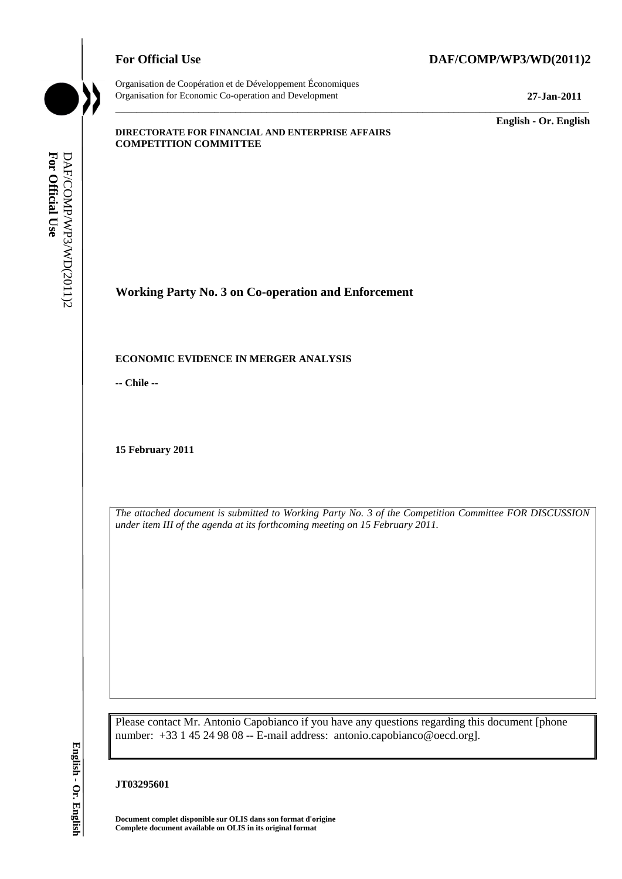

Organisation de Coopération et de Développement Économiques Organisation for Economic Co-operation and Development **27-Jan-2011**

\_\_\_\_\_\_\_\_\_\_\_\_\_ **English - Or. English**

#### **DIRECTORATE FOR FINANCIAL AND ENTERPRISE AFFAIRS COMPETITION COMMITTEE**

**Working Party No. 3 on Co-operation and Enforcement**

# **ECONOMIC EVIDENCE IN MERGER ANALYSIS**

**-- Chile --**

**15 February 2011**

*The attached document is submitted to Working Party No. 3 of the Competition Committee FOR DISCUSSION under item III of the agenda at its forthcoming meeting on 15 February 2011.*

\_\_\_\_\_\_\_\_\_\_\_\_\_\_\_\_\_\_\_\_\_\_\_\_\_\_\_\_\_\_\_\_\_\_\_\_\_\_\_\_\_\_\_\_\_\_\_\_\_\_\_\_\_\_\_\_\_\_\_\_\_\_\_\_\_\_\_\_\_\_\_\_\_\_\_\_\_\_\_\_\_\_\_\_\_\_\_\_\_\_\_

Please contact Mr. Antonio Capobianco if you have any questions regarding this document [phone number: +33 1 45 24 98 08 -- E-mail address: antonio.capobianco@oecd.org]. **COMPONER COMPRESS IN AGRICATE ON THE COMPONER COMPONER COMPONER COMPONER COMPONER COMPONER COMPONER COMPONER COMPONER COMPONER COMPONER FOR OUR USE The attached document is submitted to Working in the metric item III of t** 

#### **JT03295601**

**Document complet disponible sur OLIS dans son format d'origine**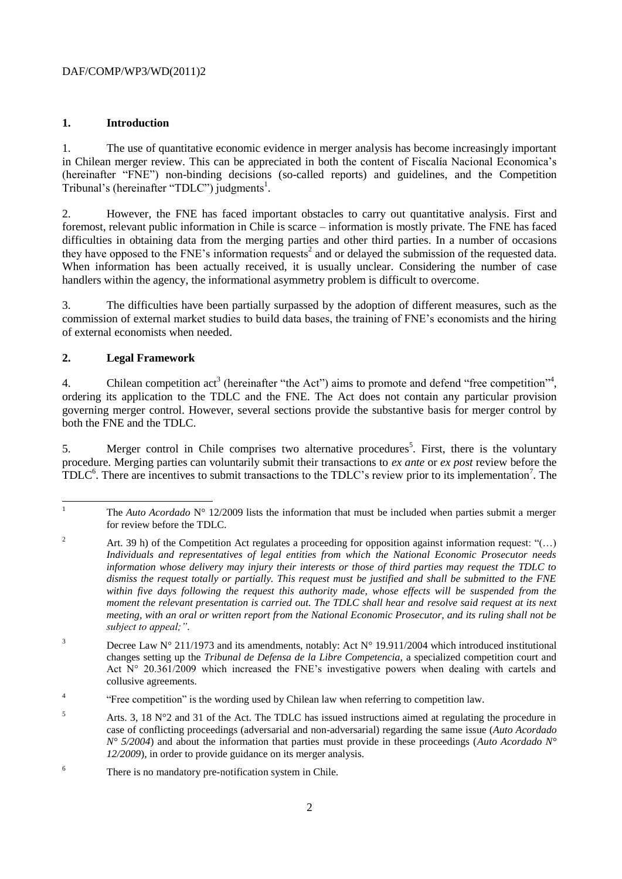# **1. Introduction**

1. The use of quantitative economic evidence in merger analysis has become increasingly important in Chilean merger review. This can be appreciated in both the content of Fiscalía Nacional Economica's (hereinafter "FNE") non-binding decisions (so-called reports) and guidelines, and the Competition Tribunal's (hereinafter "TDLC") judgments<sup>1</sup>.

2. However, the FNE has faced important obstacles to carry out quantitative analysis. First and foremost, relevant public information in Chile is scarce – information is mostly private. The FNE has faced difficulties in obtaining data from the merging parties and other third parties. In a number of occasions they have opposed to the FNE's information requests<sup>2</sup> and or delayed the submission of the requested data. When information has been actually received, it is usually unclear. Considering the number of case handlers within the agency, the informational asymmetry problem is difficult to overcome.

3. The difficulties have been partially surpassed by the adoption of different measures, such as the commission of external market studies to build data bases, the training of FNE's economists and the hiring of external economists when needed.

# **2. Legal Framework**

4. Chilean competition  $act^3$  (hereinafter "the Act") aims to promote and defend "free competition"<sup>4</sup>, ordering its application to the TDLC and the FNE. The Act does not contain any particular provision governing merger control. However, several sections provide the substantive basis for merger control by both the FNE and the TDLC.

5. Merger control in Chile comprises two alternative procedures<sup>5</sup>. First, there is the voluntary procedure. Merging parties can voluntarily submit their transactions to *ex ante* or *ex post* review before the  $TDLC<sup>6</sup>$ . There are incentives to submit transactions to the TDLC's review prior to its implementation<sup>7</sup>. The

- 4 "Free competition" is the wording used by Chilean law when referring to competition law.
- $5$  Arts. 3, 18 N°2 and 31 of the Act. The TDLC has issued instructions aimed at regulating the procedure in case of conflicting proceedings (adversarial and non-adversarial) regarding the same issue (*Auto Acordado N° 5/2004*) and about the information that parties must provide in these proceedings (*Auto Acordado N° 12/2009*), in order to provide guidance on its merger analysis.
- <sup>6</sup> There is no mandatory pre-notification system in Chile.

 $\mathbf{1}$ <sup>1</sup> The *Auto Acordado* N° 12/2009 lists the information that must be included when parties submit a merger for review before the TDLC.

<sup>&</sup>lt;sup>2</sup> Art. 39 h) of the Competition Act regulates a proceeding for opposition against information request: "(...) *Individuals and representatives of legal entities from which the National Economic Prosecutor needs information whose delivery may injury their interests or those of third parties may request the TDLC to dismiss the request totally or partially. This request must be justified and shall be submitted to the FNE*  within five days following the request this authority made, whose effects will be suspended from the *moment the relevant presentation is carried out. The TDLC shall hear and resolve said request at its next meeting, with an oral or written report from the National Economic Prosecutor, and its ruling shall not be subject to appeal;".*

<sup>&</sup>lt;sup>3</sup> Decree Law N° 211/1973 and its amendments, notably: Act N° 19.911/2004 which introduced institutional changes setting up the *Tribunal de Defensa de la Libre Competencia,* a specialized competition court and Act  $N^{\circ}$  20.361/2009 which increased the FNE's investigative powers when dealing with cartels and collusive agreements.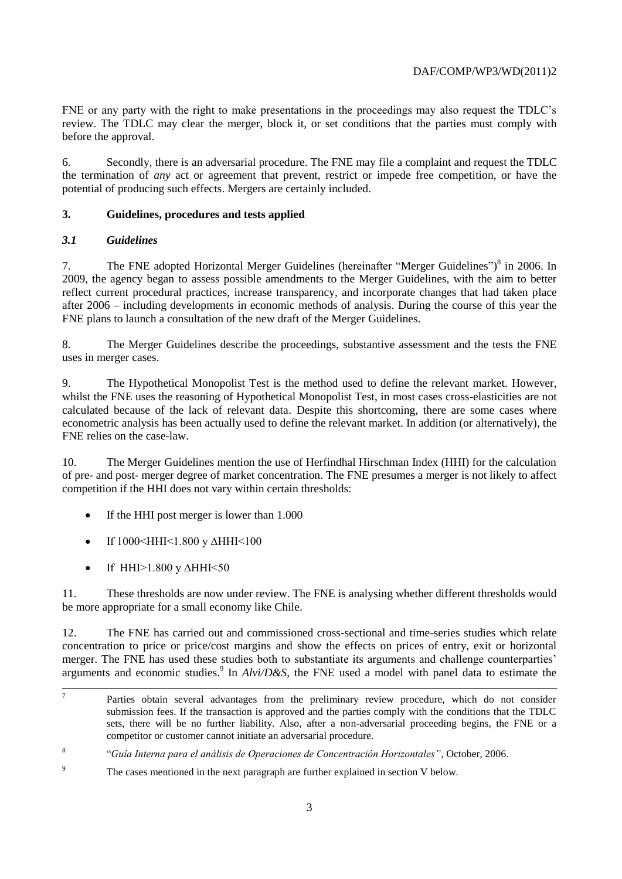FNE or any party with the right to make presentations in the proceedings may also request the TDLC's review. The TDLC may clear the merger, block it, or set conditions that the parties must comply with before the approval.

6. Secondly, there is an adversarial procedure. The FNE may file a complaint and request the TDLC the termination of *any* act or agreement that prevent, restrict or impede free competition, or have the potential of producing such effects. Mergers are certainly included.

# **3. Guidelines, procedures and tests applied**

# *3.1 Guidelines*

7. The FNE adopted Horizontal Merger Guidelines (hereinafter "Merger Guidelines")<sup>8</sup> in 2006. In 2009, the agency began to assess possible amendments to the Merger Guidelines, with the aim to better reflect current procedural practices, increase transparency, and incorporate changes that had taken place after 2006 – including developments in economic methods of analysis. During the course of this year the FNE plans to launch a consultation of the new draft of the Merger Guidelines.

8. The Merger Guidelines describe the proceedings, substantive assessment and the tests the FNE uses in merger cases.

9. The Hypothetical Monopolist Test is the method used to define the relevant market. However, whilst the FNE uses the reasoning of Hypothetical Monopolist Test, in most cases cross-elasticities are not calculated because of the lack of relevant data. Despite this shortcoming, there are some cases where econometric analysis has been actually used to define the relevant market. In addition (or alternatively), the FNE relies on the case-law.

10. The Merger Guidelines mention the use of Herfindhal Hirschman Index (HHI) for the calculation of pre- and post- merger degree of market concentration. The FNE presumes a merger is not likely to affect competition if the HHI does not vary within certain thresholds:

- If the HHI post merger is lower than 1.000
- If 1000<HHI<1.800 y ΔHHI<100
- If HHI>1.800 y ∆HHI<50

11. These thresholds are now under review. The FNE is analysing whether different thresholds would be more appropriate for a small economy like Chile.

12. The FNE has carried out and commissioned cross-sectional and time-series studies which relate concentration to price or price/cost margins and show the effects on prices of entry, exit or horizontal merger. The FNE has used these studies both to substantiate its arguments and challenge counterparties' arguments and economic studies.<sup>9</sup> In *Alvi/D&S*, the FNE used a model with panel data to estimate the

<sup>-&</sup>lt;br>7 Parties obtain several advantages from the preliminary review procedure, which do not consider submission fees. If the transaction is approved and the parties comply with the conditions that the TDLC sets, there will be no further liability. Also, after a non-adversarial proceeding begins, the FNE or a competitor or customer cannot initiate an adversarial procedure.

<sup>8</sup> "*Guía Interna para el análisis de Operaciones de Concentración Horizontales"*, October, 2006.

<sup>&</sup>lt;sup>9</sup> The cases mentioned in the next paragraph are further explained in section V below.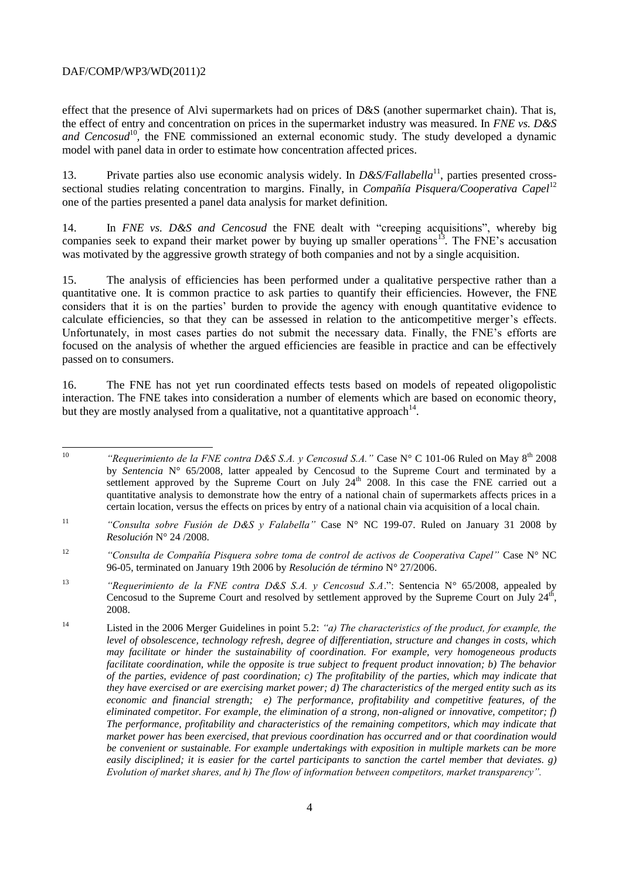effect that the presence of Alvi supermarkets had on prices of D&S (another supermarket chain). That is, the effect of entry and concentration on prices in the supermarket industry was measured. In *FNE vs. D&S*  and Cencosud<sup>10</sup>, the FNE commissioned an external economic study. The study developed a dynamic model with panel data in order to estimate how concentration affected prices.

13. Private parties also use economic analysis widely. In *D&S/Fallabella*<sup>11</sup>, parties presented crosssectional studies relating concentration to margins. Finally, in *Compañía Pisquera/Cooperativa Capel*<sup>12</sup> one of the parties presented a panel data analysis for market definition.

14. In *FNE vs. D&S and Cencosud* the FNE dealt with "creeping acquisitions", whereby big companies seek to expand their market power by buying up smaller operations<sup>13</sup>. The FNE's accusation was motivated by the aggressive growth strategy of both companies and not by a single acquisition.

15. The analysis of efficiencies has been performed under a qualitative perspective rather than a quantitative one. It is common practice to ask parties to quantify their efficiencies. However, the FNE considers that it is on the parties' burden to provide the agency with enough quantitative evidence to calculate efficiencies, so that they can be assessed in relation to the anticompetitive merger's effects. Unfortunately, in most cases parties do not submit the necessary data. Finally, the FNE's efforts are focused on the analysis of whether the argued efficiencies are feasible in practice and can be effectively passed on to consumers.

16. The FNE has not yet run coordinated effects tests based on models of repeated oligopolistic interaction. The FNE takes into consideration a number of elements which are based on economic theory, but they are mostly analysed from a qualitative, not a quantitative approach<sup>14</sup>.

 $10<sup>10</sup>$ "Requerimiento de la FNE contra D&S S.A. y Cencosud S.A." Case N° C 101-06 Ruled on May 8<sup>th</sup> 2008 by *Sentencia* N° 65/2008, latter appealed by Cencosud to the Supreme Court and terminated by a settlement approved by the Supreme Court on July  $24<sup>th</sup>$  2008. In this case the FNE carried out a quantitative analysis to demonstrate how the entry of a national chain of supermarkets affects prices in a certain location, versus the effects on prices by entry of a national chain via acquisition of a local chain.

<sup>11</sup> *"Consulta sobre Fusión de D&S y Falabella"* Case N° NC 199-07. Ruled on January 31 2008 by *Resolución* N° 24 /2008.

<sup>12</sup> *"Consulta de Compañía Pisquera sobre toma de control de activos de Cooperativa Capel"* Case N° NC 96-05, terminated on January 19th 2006 by *Resolución de término* N° 27/2006.

<sup>&</sup>lt;sup>13</sup> "Requerimiento de la FNE contra D&S S.A. y Cencosud S.A.": Sentencia N° 65/2008, appealed by Cencosud to the Supreme Court and resolved by settlement approved by the Supreme Court on July  $24<sup>th</sup>$ , 2008.

<sup>14</sup> Listed in the 2006 Merger Guidelines in point 5.2: *"a) The characteristics of the product, for example, the level of obsolescence, technology refresh, degree of differentiation, structure and changes in costs, which may facilitate or hinder the sustainability of coordination. For example, very homogeneous products facilitate coordination, while the opposite is true subject to frequent product innovation; b) The behavior of the parties, evidence of past coordination; c) The profitability of the parties, which may indicate that they have exercised or are exercising market power; d) The characteristics of the merged entity such as its economic and financial strength; e) The performance, profitability and competitive features, of the eliminated competitor. For example, the elimination of a strong, non-aligned or innovative, competitor; f) The performance, profitability and characteristics of the remaining competitors, which may indicate that market power has been exercised, that previous coordination has occurred and or that coordination would be convenient or sustainable. For example undertakings with exposition in multiple markets can be more easily disciplined; it is easier for the cartel participants to sanction the cartel member that deviates. g) Evolution of market shares, and h) The flow of information between competitors, market transparency".*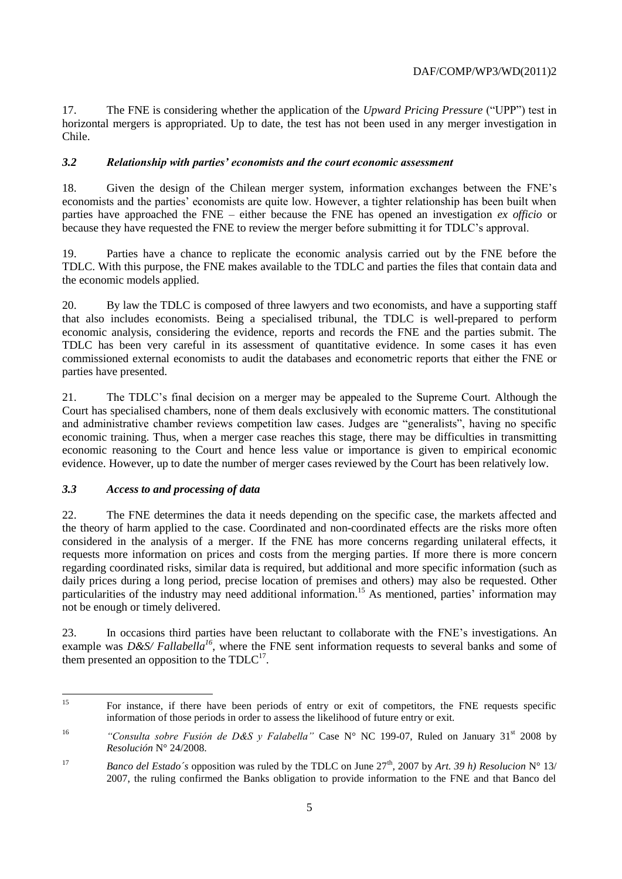17. The FNE is considering whether the application of the *Upward Pricing Pressure* ("UPP") test in horizontal mergers is appropriated. Up to date, the test has not been used in any merger investigation in Chile.

# *3.2 Relationship with parties' economists and the court economic assessment*

18. Given the design of the Chilean merger system, information exchanges between the FNE's economists and the parties' economists are quite low. However, a tighter relationship has been built when parties have approached the FNE – either because the FNE has opened an investigation *ex officio* or because they have requested the FNE to review the merger before submitting it for TDLC's approval.

19. Parties have a chance to replicate the economic analysis carried out by the FNE before the TDLC. With this purpose, the FNE makes available to the TDLC and parties the files that contain data and the economic models applied.

20. By law the TDLC is composed of three lawyers and two economists, and have a supporting staff that also includes economists. Being a specialised tribunal, the TDLC is well-prepared to perform economic analysis, considering the evidence, reports and records the FNE and the parties submit. The TDLC has been very careful in its assessment of quantitative evidence. In some cases it has even commissioned external economists to audit the databases and econometric reports that either the FNE or parties have presented.

21. The TDLC's final decision on a merger may be appealed to the Supreme Court. Although the Court has specialised chambers, none of them deals exclusively with economic matters. The constitutional and administrative chamber reviews competition law cases. Judges are "generalists", having no specific economic training. Thus, when a merger case reaches this stage, there may be difficulties in transmitting economic reasoning to the Court and hence less value or importance is given to empirical economic evidence. However, up to date the number of merger cases reviewed by the Court has been relatively low.

# *3.3 Access to and processing of data*

22. The FNE determines the data it needs depending on the specific case, the markets affected and the theory of harm applied to the case. Coordinated and non-coordinated effects are the risks more often considered in the analysis of a merger. If the FNE has more concerns regarding unilateral effects, it requests more information on prices and costs from the merging parties. If more there is more concern regarding coordinated risks, similar data is required, but additional and more specific information (such as daily prices during a long period, precise location of premises and others) may also be requested. Other particularities of the industry may need additional information.<sup>15</sup> As mentioned, parties' information may not be enough or timely delivered.

23. In occasions third parties have been reluctant to collaborate with the FNE's investigations. An example was *D&S/ Fallabella<sup>16</sup>*, where the FNE sent information requests to several banks and some of them presented an opposition to the  $TDLC^{17}$ .

 $15$ <sup>15</sup> For instance, if there have been periods of entry or exit of competitors, the FNE requests specific information of those periods in order to assess the likelihood of future entry or exit.

<sup>&</sup>lt;sup>16</sup> *"Consulta sobre Fusión de D&S y Falabella"* Case N° NC 199-07, Ruled on January 31<sup>st</sup> 2008 by *Resolución* N° 24/2008.

<sup>&</sup>lt;sup>17</sup> *Banco del Estado*'s opposition was ruled by the TDLC on June  $27<sup>th</sup>$ , 2007 by *Art.* 39 *h*) *Resolucion*  $N^{\circ}$  13/ 2007, the ruling confirmed the Banks obligation to provide information to the FNE and that Banco del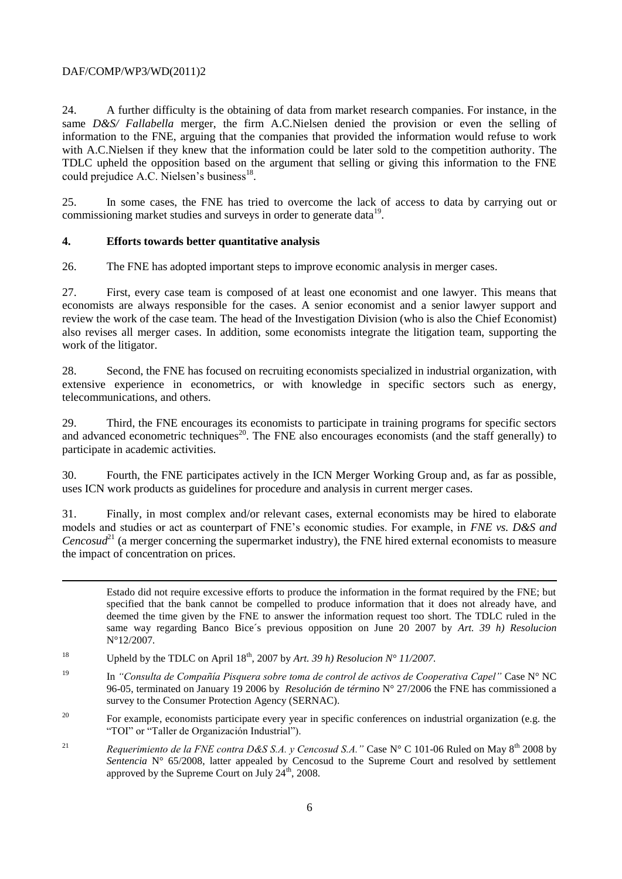24. A further difficulty is the obtaining of data from market research companies. For instance, in the same *D&S/ Fallabella* merger, the firm A.C.Nielsen denied the provision or even the selling of information to the FNE, arguing that the companies that provided the information would refuse to work with A.C.Nielsen if they knew that the information could be later sold to the competition authority. The TDLC upheld the opposition based on the argument that selling or giving this information to the FNE could prejudice A.C. Nielsen's business<sup>18</sup>.

25. In some cases, the FNE has tried to overcome the lack of access to data by carrying out or commissioning market studies and surveys in order to generate data<sup>19</sup>.

# **4. Efforts towards better quantitative analysis**

26. The FNE has adopted important steps to improve economic analysis in merger cases.

27. First, every case team is composed of at least one economist and one lawyer. This means that economists are always responsible for the cases. A senior economist and a senior lawyer support and review the work of the case team. The head of the Investigation Division (who is also the Chief Economist) also revises all merger cases. In addition, some economists integrate the litigation team, supporting the work of the litigator.

28. Second, the FNE has focused on recruiting economists specialized in industrial organization, with extensive experience in econometrics, or with knowledge in specific sectors such as energy, telecommunications, and others.

29. Third, the FNE encourages its economists to participate in training programs for specific sectors and advanced econometric techniques<sup>20</sup>. The FNE also encourages economists (and the staff generally) to participate in academic activities.

30. Fourth, the FNE participates actively in the ICN Merger Working Group and, as far as possible, uses ICN work products as guidelines for procedure and analysis in current merger cases.

31. Finally, in most complex and/or relevant cases, external economists may be hired to elaborate models and studies or act as counterpart of FNE's economic studies. For example, in *FNE vs. D&S and Cencosud*<sup>21</sup> (a merger concerning the supermarket industry), the FNE hired external economists to measure the impact of concentration on prices.

Estado did not require excessive efforts to produce the information in the format required by the FNE; but specified that the bank cannot be compelled to produce information that it does not already have, and deemed the time given by the FNE to answer the information request too short. The TDLC ruled in the same way regarding Banco Bice´s previous opposition on June 20 2007 by *Art. 39 h) Resolucion*  N°12/2007*.*

<sup>&</sup>lt;sup>18</sup> Upheld by the TDLC on April  $18^{th}$ , 2007 by *Art.* 39 h) Resolucion  $N^{\circ}$  11/2007.

<sup>19</sup> In *"Consulta de Compañía Pisquera sobre toma de control de activos de Cooperativa Capel"* Case N° NC 96-05, terminated on January 19 2006 by *Resolución de término* N° 27/2006 the FNE has commissioned a survey to the Consumer Protection Agency (SERNAC).

<sup>&</sup>lt;sup>20</sup> For example, economists participate every year in specific conferences on industrial organization (e.g. the "TOI" or "Taller de Organización Industrial").

<sup>&</sup>lt;sup>21</sup> *Requerimiento de la FNE contra D&S S.A. y Cencosud S.A.* " Case N° C 101-06 Ruled on May  $8^{th}$  2008 by *Sentencia* N° 65/2008, latter appealed by Cencosud to the Supreme Court and resolved by settlement approved by the Supreme Court on July  $24^{\text{th}}$ , 2008.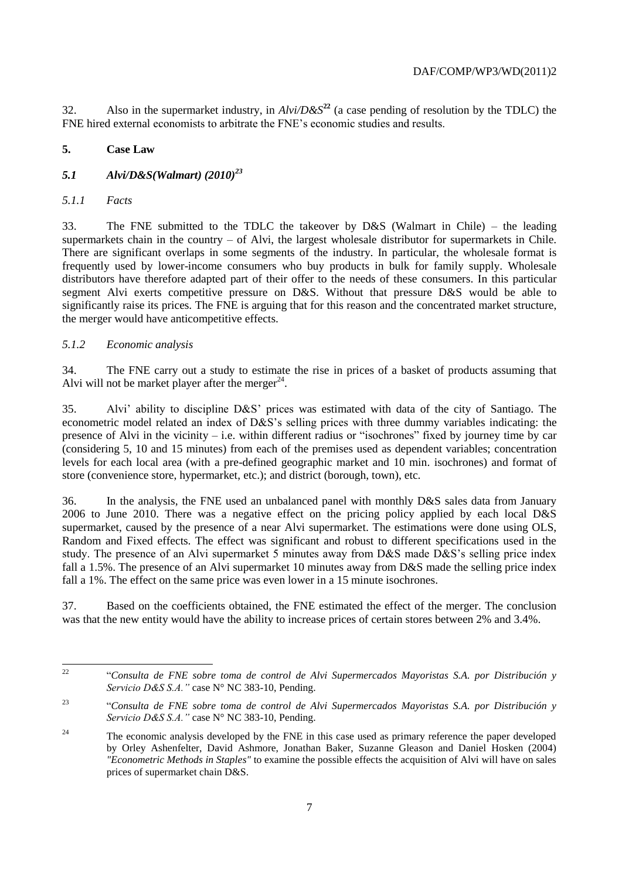32. Also in the supermarket industry, in  $A\ell \nu / D \& S^{22}$  (a case pending of resolution by the TDLC) the FNE hired external economists to arbitrate the FNE's economic studies and results.

# **5. Case Law**

# *5.1 Alvi/D&S(Walmart) (2010)<sup>23</sup>*

#### *5.1.1 Facts*

33. The FNE submitted to the TDLC the takeover by D&S (Walmart in Chile) – the leading supermarkets chain in the country – of Alvi, the largest wholesale distributor for supermarkets in Chile. There are significant overlaps in some segments of the industry. In particular, the wholesale format is frequently used by lower-income consumers who buy products in bulk for family supply. Wholesale distributors have therefore adapted part of their offer to the needs of these consumers. In this particular segment Alvi exerts competitive pressure on D&S. Without that pressure D&S would be able to significantly raise its prices. The FNE is arguing that for this reason and the concentrated market structure, the merger would have anticompetitive effects.

### *5.1.2 Economic analysis*

34. The FNE carry out a study to estimate the rise in prices of a basket of products assuming that Alvi will not be market player after the merger $^{24}$ .

35. Alvi' ability to discipline D&S' prices was estimated with data of the city of Santiago. The econometric model related an index of D&S's selling prices with three dummy variables indicating: the presence of Alvi in the vicinity – i.e. within different radius or "isochrones" fixed by journey time by car (considering 5, 10 and 15 minutes) from each of the premises used as dependent variables; concentration levels for each local area (with a pre-defined geographic market and 10 min. isochrones) and format of store (convenience store, hypermarket, etc.); and district (borough, town), etc.

36. In the analysis, the FNE used an unbalanced panel with monthly D&S sales data from January 2006 to June 2010. There was a negative effect on the pricing policy applied by each local D&S supermarket, caused by the presence of a near Alvi supermarket. The estimations were done using OLS, Random and Fixed effects. The effect was significant and robust to different specifications used in the study. The presence of an Alvi supermarket 5 minutes away from D&S made D&S's selling price index fall a 1.5%. The presence of an Alvi supermarket 10 minutes away from D&S made the selling price index fall a 1%. The effect on the same price was even lower in a 15 minute isochrones.

37. Based on the coefficients obtained, the FNE estimated the effect of the merger. The conclusion was that the new entity would have the ability to increase prices of certain stores between 2% and 3.4%.

 $22$ <sup>22</sup> "*Consulta de FNE sobre toma de control de Alvi Supermercados Mayoristas S.A. por Distribución y Servicio D&S S.A."* case N° NC 383-10, Pending.

<sup>23</sup> "*Consulta de FNE sobre toma de control de Alvi Supermercados Mayoristas S.A. por Distribución y Servicio D&S S.A."* case N° NC 383-10, Pending.

<sup>&</sup>lt;sup>24</sup> The economic analysis developed by the FNE in this case used as primary reference the paper developed by Orley Ashenfelter, David Ashmore, Jonathan Baker, Suzanne Gleason and Daniel Hosken (2004) *"Econometric Methods in Staples"* to examine the possible effects the acquisition of Alvi will have on sales prices of supermarket chain D&S.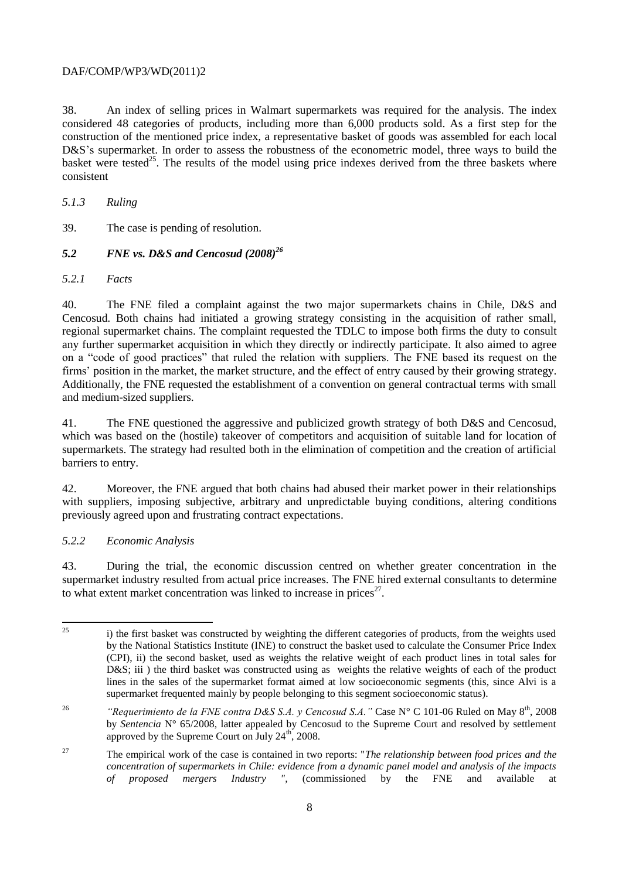38. An index of selling prices in Walmart supermarkets was required for the analysis. The index considered 48 categories of products, including more than 6,000 products sold. As a first step for the construction of the mentioned price index, a representative basket of goods was assembled for each local D&S's supermarket. In order to assess the robustness of the econometric model, three ways to build the basket were tested<sup>25</sup>. The results of the model using price indexes derived from the three baskets where consistent

*5.1.3 Ruling* 

39. The case is pending of resolution.

*5.2 FNE vs. D&S and Cencosud (2008)<sup>26</sup>*

*5.2.1 Facts*

40. The FNE filed a complaint against the two major supermarkets chains in Chile, D&S and Cencosud. Both chains had initiated a growing strategy consisting in the acquisition of rather small, regional supermarket chains. The complaint requested the TDLC to impose both firms the duty to consult any further supermarket acquisition in which they directly or indirectly participate. It also aimed to agree on a "code of good practices" that ruled the relation with suppliers. The FNE based its request on the firms' position in the market, the market structure, and the effect of entry caused by their growing strategy. Additionally, the FNE requested the establishment of a convention on general contractual terms with small and medium-sized suppliers.

41. The FNE questioned the aggressive and publicized growth strategy of both D&S and Cencosud, which was based on the (hostile) takeover of competitors and acquisition of suitable land for location of supermarkets. The strategy had resulted both in the elimination of competition and the creation of artificial barriers to entry.

42. Moreover, the FNE argued that both chains had abused their market power in their relationships with suppliers, imposing subjective, arbitrary and unpredictable buying conditions, altering conditions previously agreed upon and frustrating contract expectations.

### *5.2.2 Economic Analysis*

43. During the trial, the economic discussion centred on whether greater concentration in the supermarket industry resulted from actual price increases. The FNE hired external consultants to determine to what extent market concentration was linked to increase in prices $2^7$ .

<sup>25</sup> i) the first basket was constructed by weighting the different categories of products, from the weights used by the National Statistics Institute (INE) to construct the basket used to calculate the Consumer Price Index (CPI), ii) the second basket, used as weights the relative weight of each product lines in total sales for D&S; iii) the third basket was constructed using as weights the relative weights of each of the product lines in the sales of the supermarket format aimed at low socioeconomic segments (this, since Alvi is a supermarket frequented mainly by people belonging to this segment socioeconomic status).

<sup>&</sup>lt;sup>26</sup> "Requerimiento de la FNE contra D&S S.A. y Cencosud S.A. " Case N° C 101-06 Ruled on May 8<sup>th</sup>, 2008 by *Sentencia* N° 65/2008, latter appealed by Cencosud to the Supreme Court and resolved by settlement approved by the Supreme Court on July  $24^{\text{th}}$ , 2008.

<sup>27</sup> The empirical work of the case is contained in two reports: "*The relationship between food prices and the concentration of supermarkets in Chile: evidence from a dynamic panel model and analysis of the impacts of proposed mergers Industry ",* (commissioned by the FNE and available at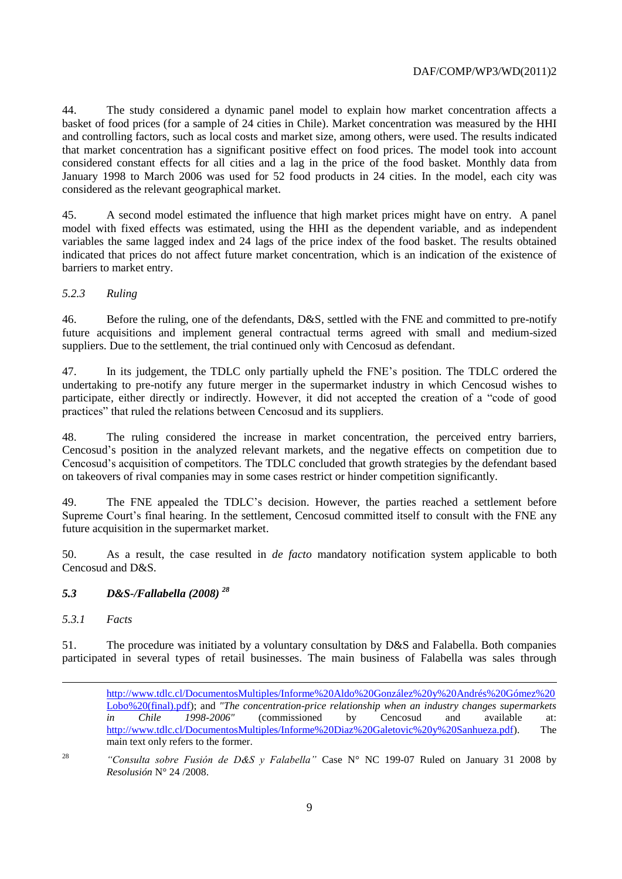44. The study considered a dynamic panel model to explain how market concentration affects a basket of food prices (for a sample of 24 cities in Chile). Market concentration was measured by the HHI and controlling factors, such as local costs and market size, among others, were used. The results indicated that market concentration has a significant positive effect on food prices. The model took into account considered constant effects for all cities and a lag in the price of the food basket. Monthly data from January 1998 to March 2006 was used for 52 food products in 24 cities. In the model, each city was considered as the relevant geographical market.

45. A second model estimated the influence that high market prices might have on entry. A panel model with fixed effects was estimated, using the HHI as the dependent variable, and as independent variables the same lagged index and 24 lags of the price index of the food basket. The results obtained indicated that prices do not affect future market concentration, which is an indication of the existence of barriers to market entry.

# *5.2.3 Ruling*

46. Before the ruling, one of the defendants, D&S, settled with the FNE and committed to pre-notify future acquisitions and implement general contractual terms agreed with small and medium-sized suppliers. Due to the settlement, the trial continued only with Cencosud as defendant.

47. In its judgement, the TDLC only partially upheld the FNE's position. The TDLC ordered the undertaking to pre-notify any future merger in the supermarket industry in which Cencosud wishes to participate, either directly or indirectly. However, it did not accepted the creation of a "code of good practices" that ruled the relations between Cencosud and its suppliers.

48. The ruling considered the increase in market concentration, the perceived entry barriers, Cencosud's position in the analyzed relevant markets, and the negative effects on competition due to Cencosud's acquisition of competitors. The TDLC concluded that growth strategies by the defendant based on takeovers of rival companies may in some cases restrict or hinder competition significantly.

49. The FNE appealed the TDLC's decision. However, the parties reached a settlement before Supreme Court's final hearing. In the settlement, Cencosud committed itself to consult with the FNE any future acquisition in the supermarket market.

50. As a result, the case resulted in *de facto* mandatory notification system applicable to both Cencosud and D&S.

### *5.3 D&S-/Fallabella (2008) <sup>28</sup>*

### *5.3.1 Facts*

 $\overline{a}$ 

51. The procedure was initiated by a voluntary consultation by D&S and Falabella. Both companies participated in several types of retail businesses. The main business of Falabella was sales through

<sup>28</sup> *"Consulta sobre Fusión de D&S y Falabella"* Case N° NC 199-07 Ruled on January 31 2008 by *Resolusión* N° 24 /2008.

[http://www.tdlc.cl/DocumentosMultiples/Informe%20Aldo%20González%20y%20Andrés%20Gómez%20](http://www.tdlc.cl/DocumentosMultiples/Informe%20Aldo%20González%20y%20Andrés%20Gómez%20Lobo%20(final).pdf)) [Lobo%20\(final\).pdf\)](http://www.tdlc.cl/DocumentosMultiples/Informe%20Aldo%20González%20y%20Andrés%20Gómez%20Lobo%20(final).pdf)); and *"The concentration-price relationship when an industry changes supermarkets in Chile 1998-2006"* (commissioned by Cencosud and available at: [http://www.tdlc.cl/DocumentosMultiples/Informe%20Diaz%20Galetovic%20y%20Sanhueza.pdf\)](http://www.tdlc.cl/DocumentosMultiples/Informe%20Diaz%20Galetovic%20y%20Sanhueza.pdf). The main text only refers to the former.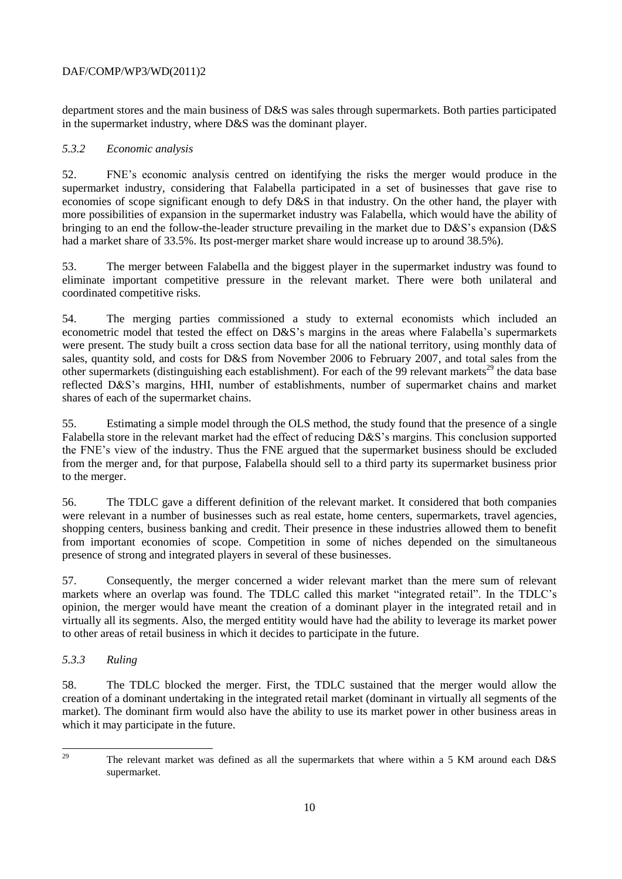department stores and the main business of D&S was sales through supermarkets. Both parties participated in the supermarket industry, where D&S was the dominant player.

## *5.3.2 Economic analysis*

52. FNE's economic analysis centred on identifying the risks the merger would produce in the supermarket industry, considering that Falabella participated in a set of businesses that gave rise to economies of scope significant enough to defy D&S in that industry. On the other hand, the player with more possibilities of expansion in the supermarket industry was Falabella, which would have the ability of bringing to an end the follow-the-leader structure prevailing in the market due to D&S's expansion (D&S had a market share of 33.5%. Its post-merger market share would increase up to around 38.5%).

53. The merger between Falabella and the biggest player in the supermarket industry was found to eliminate important competitive pressure in the relevant market. There were both unilateral and coordinated competitive risks.

54. The merging parties commissioned a study to external economists which included an econometric model that tested the effect on D&S's margins in the areas where Falabella's supermarkets were present. The study built a cross section data base for all the national territory, using monthly data of sales, quantity sold, and costs for D&S from November 2006 to February 2007, and total sales from the other supermarkets (distinguishing each establishment). For each of the 99 relevant markets<sup>29</sup> the data base reflected D&S's margins, HHI, number of establishments, number of supermarket chains and market shares of each of the supermarket chains.

55. Estimating a simple model through the OLS method, the study found that the presence of a single Falabella store in the relevant market had the effect of reducing D&S's margins. This conclusion supported the FNE's view of the industry. Thus the FNE argued that the supermarket business should be excluded from the merger and, for that purpose, Falabella should sell to a third party its supermarket business prior to the merger.

56. The TDLC gave a different definition of the relevant market. It considered that both companies were relevant in a number of businesses such as real estate, home centers, supermarkets, travel agencies, shopping centers, business banking and credit. Their presence in these industries allowed them to benefit from important economies of scope. Competition in some of niches depended on the simultaneous presence of strong and integrated players in several of these businesses.

57. Consequently, the merger concerned a wider relevant market than the mere sum of relevant markets where an overlap was found. The TDLC called this market "integrated retail". In the TDLC's opinion, the merger would have meant the creation of a dominant player in the integrated retail and in virtually all its segments. Also, the merged entitity would have had the ability to leverage its market power to other areas of retail business in which it decides to participate in the future.

# *5.3.3 Ruling*

58. The TDLC blocked the merger. First, the TDLC sustained that the merger would allow the creation of a dominant undertaking in the integrated retail market (dominant in virtually all segments of the market). The dominant firm would also have the ability to use its market power in other business areas in which it may participate in the future.

<sup>29</sup> The relevant market was defined as all the supermarkets that where within a 5 KM around each D&S supermarket.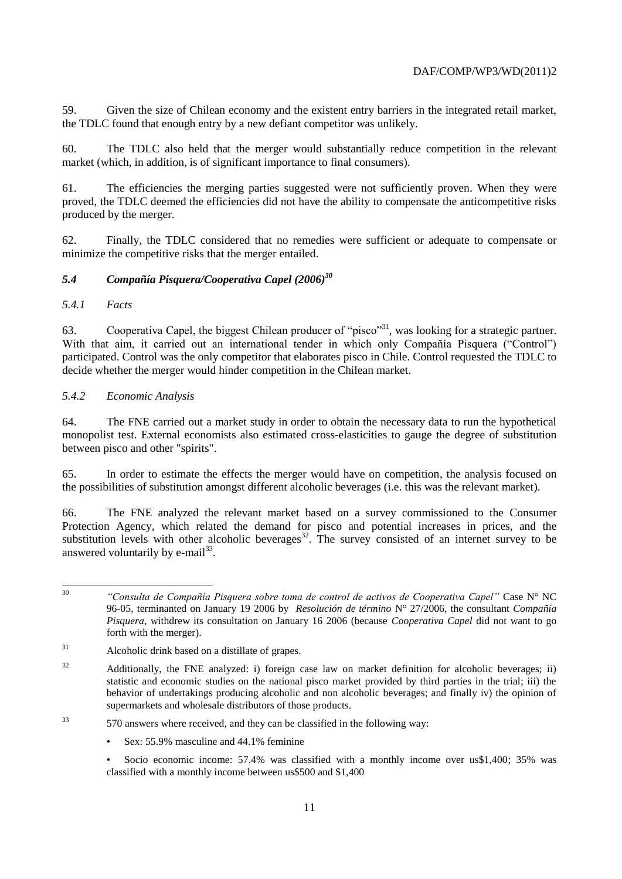59. Given the size of Chilean economy and the existent entry barriers in the integrated retail market, the TDLC found that enough entry by a new defiant competitor was unlikely.

60. The TDLC also held that the merger would substantially reduce competition in the relevant market (which, in addition, is of significant importance to final consumers).

61. The efficiencies the merging parties suggested were not sufficiently proven. When they were proved, the TDLC deemed the efficiencies did not have the ability to compensate the anticompetitive risks produced by the merger.

62. Finally, the TDLC considered that no remedies were sufficient or adequate to compensate or minimize the competitive risks that the merger entailed.

# *5.4 Compañía Pisquera/Cooperativa Capel (2006)<sup>30</sup>*

# *5.4.1 Facts*

63. Cooperativa Capel, the biggest Chilean producer of "pisco"<sup>31</sup>, was looking for a strategic partner. With that aim, it carried out an international tender in which only Compañía Pisquera ("Control") participated. Control was the only competitor that elaborates pisco in Chile. Control requested the TDLC to decide whether the merger would hinder competition in the Chilean market.

# *5.4.2 Economic Analysis*

64. The FNE carried out a market study in order to obtain the necessary data to run the hypothetical monopolist test. External economists also estimated cross-elasticities to gauge the degree of substitution between pisco and other "spirits".

65. In order to estimate the effects the merger would have on competition, the analysis focused on the possibilities of substitution amongst different alcoholic beverages (i.e. this was the relevant market).

66. The FNE analyzed the relevant market based on a survey commissioned to the Consumer Protection Agency, which related the demand for pisco and potential increases in prices, and the substitution levels with other alcoholic beverages<sup>32</sup>. The survey consisted of an internet survey to be answered voluntarily by  $e$ -mail $^{33}$ .

 $30^{\circ}$ <sup>30</sup> *"Consulta de Compañía Pisquera sobre toma de control de activos de Cooperativa Capel"* Case N° NC 96-05, terminanted on January 19 2006 by *Resolución de término* N° 27/2006, the consultant *Compañía Pisquera*, withdrew its consultation on January 16 2006 (because *Cooperativa Capel* did not want to go forth with the merger).

<sup>31</sup> Alcoholic drink based on a distillate of grapes.

 $32$  Additionally, the FNE analyzed: i) foreign case law on market definition for alcoholic beverages; ii) statistic and economic studies on the national pisco market provided by third parties in the trial; iii) the behavior of undertakings producing alcoholic and non alcoholic beverages; and finally iv) the opinion of supermarkets and wholesale distributors of those products.

<sup>33</sup> 570 answers where received, and they can be classified in the following way:

<sup>•</sup> Sex: 55.9% masculine and 44.1% feminine

<sup>•</sup> Socio economic income: 57.4% was classified with a monthly income over us\$1,400; 35% was classified with a monthly income between us\$500 and \$1,400